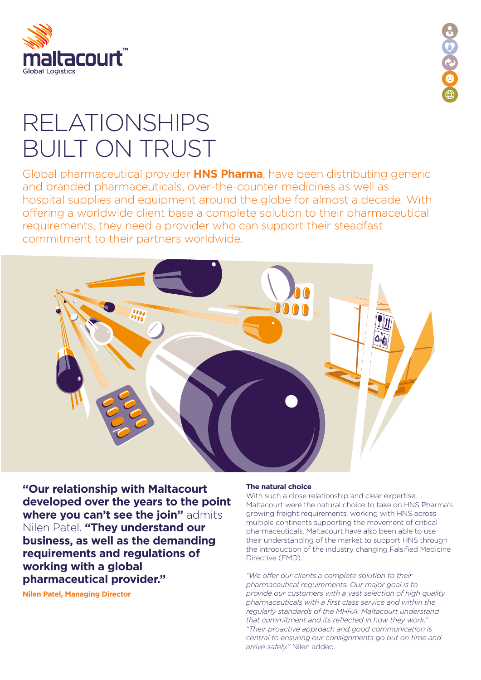



## RELATIONSHIPS BUILT ON TRUST

Global pharmaceutical provider **HNS Pharma**, have been distributing generic and branded pharmaceuticals, over-the-counter medicines as well as hospital supplies and equipment around the globe for almost a decade. With offering a worldwide client base a complete solution to their pharmaceutical requirements, they need a provider who can support their steadfast commitment to their partners worldwide.



**"Our relationship with Maltacourt developed over the years to the point where you can't see the join"** admits Nilen Patel. **"They understand our business, as well as the demanding requirements and regulations of working with a global pharmaceutical provider."** 

**Nilen Patel, Managing Director**

## **The natural choice**

With such a close relationship and clear expertise, Maltacourt were the natural choice to take on HNS Pharma's growing freight requirements, working with HNS across multiple continents supporting the movement of critical pharmaceuticals. Maltacourt have also been able to use their understanding of the market to support HNS through the introduction of the industry changing Falsified Medicine Directive (FMD).

*"We offer our clients a complete solution to their pharmaceutical requirements. Our major goal is to provide our customers with a vast selection of high quality pharmaceuticals with a first class service and within the regularly standards of the MHRA. Maltacourt understand that commitment and its reflected in how they work." "Their proactive approach and good communication is central to ensuring our consignments go out on time and arrive safely."* Nilen added.